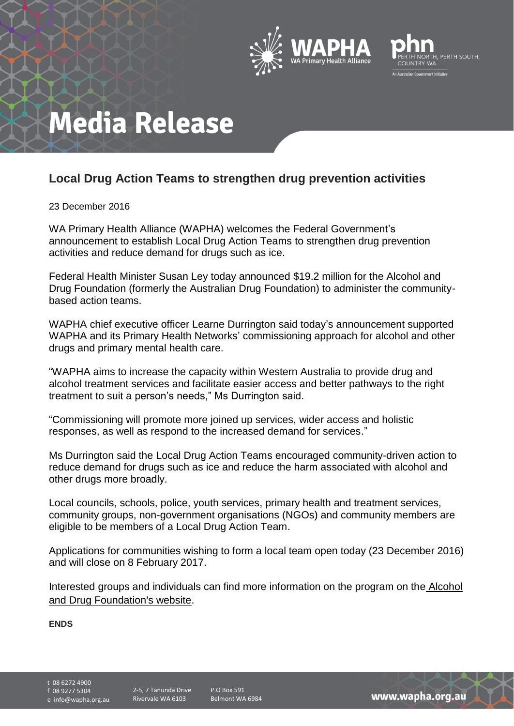



## **Media Release**

## **Local Drug Action Teams to strengthen drug prevention activities**

23 December 2016

WA Primary Health Alliance (WAPHA) welcomes the Federal Government's announcement to establish Local Drug Action Teams to strengthen drug prevention activities and reduce demand for drugs such as ice.

Federal Health Minister Susan Ley today announced \$19.2 million for the Alcohol and Drug Foundation (formerly the Australian Drug Foundation) to administer the communitybased action teams.

WAPHA chief executive officer Learne Durrington said today's announcement supported WAPHA and its Primary Health Networks' commissioning approach for alcohol and other drugs and primary mental health care.

"WAPHA aims to increase the capacity within Western Australia to provide drug and alcohol treatment services and facilitate easier access and better pathways to the right treatment to suit a person's needs," Ms Durrington said.

"Commissioning will promote more joined up services, wider access and holistic responses, as well as respond to the increased demand for services."

Ms Durrington said the Local Drug Action Teams encouraged community-driven action to reduce demand for drugs such as ice and reduce the harm associated with alcohol and other drugs more broadly.

Local councils, schools, police, youth services, primary health and treatment services, community groups, non-government organisations (NGOs) and community members are eligible to be members of a Local Drug Action Team.

Applications for communities wishing to form a local team open today (23 December 2016) and will close on 8 February 2017.

Interested groups and individuals can find more information on the program on the [Alcohol](http://adf.org.au/community/our-programs/local-drug-action-teams/)  [and Drug Foundation's website.](http://adf.org.au/community/our-programs/local-drug-action-teams/)

ENDS

t 08 6272 4900 f 08 9277 5304

e info@wapha.org.au